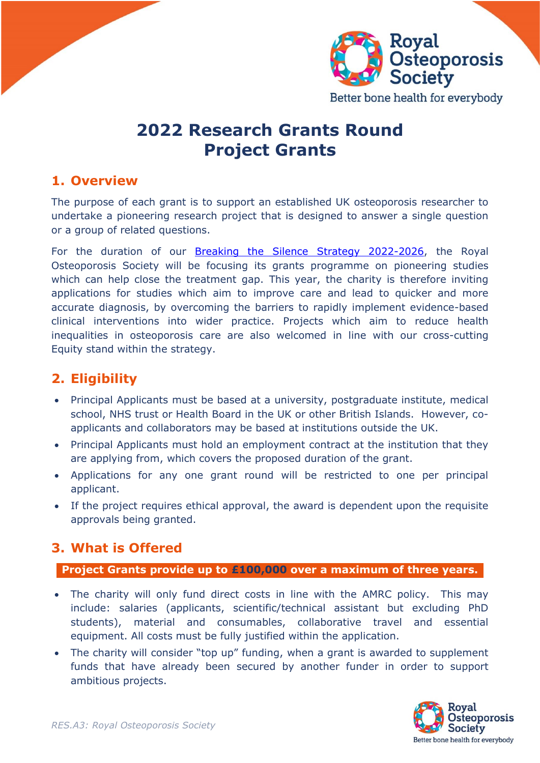



# **2022 Research Grants Round Project Grants**

### **1. Overview**

The purpose of each grant is to support an established UK osteoporosis researcher to undertake a pioneering research project that is designed to answer a single question or a group of related questions.

For the duration of our [Breaking the Silence Strategy 2022-2026,](https://theros.org.uk/latest-news/new-strategy-from-the-ros-intends-to-finally-break-the-silence-on-osteoporosis/) the Royal Osteoporosis Society will be focusing its grants programme on pioneering studies which can help close the treatment gap. This year, the charity is therefore inviting applications for studies which aim to improve care and lead to quicker and more accurate diagnosis, by overcoming the barriers to rapidly implement evidence-based clinical interventions into wider practice. Projects which aim to reduce health inequalities in osteoporosis care are also welcomed in line with our cross-cutting Equity stand within the strategy.

## **2. Eligibility**

- Principal Applicants must be based at a university, postgraduate institute, medical school, NHS trust or Health Board in the UK or other British Islands. However, coapplicants and collaborators may be based at institutions outside the UK.
- Principal Applicants must hold an employment contract at the institution that they are applying from, which covers the proposed duration of the grant.
- Applications for any one grant round will be restricted to one per principal applicant.
- If the project requires ethical approval, the award is dependent upon the requisite approvals being granted.

#### **3. What is Offered**

**Project Grants provide up to £100,000 over a maximum of three years.**

- The charity will only fund direct costs in line with the AMRC policy. This may include: salaries (applicants, scientific/technical assistant but excluding PhD students), material and consumables, collaborative travel and essential equipment. All costs must be fully justified within the application.
- The charity will consider "top up" funding, when a grant is awarded to supplement funds that have already been secured by another funder in order to support ambitious projects.